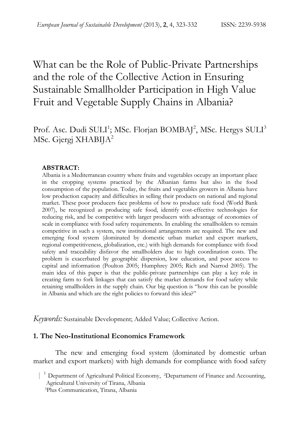# What can be the Role of Public-Private Partnerships and the role of the Collective Action in Ensuring Sustainable Smallholder Participation in High Value Fruit and Vegetable Supply Chains in Albania?

# Prof. Asc. Dudi SULI<sup>1</sup>; MSc. Florjan BOMBAJ<sup>2</sup>, MSc. Hergys SULI<sup>3</sup> MSc. Gjergj XHABIJA<sup>2</sup>

#### **ABSTRACT:**

Albania is a Mediterranean country where fruits and vegetables occupy an important place in the cropping systems practiced by the Albanian farms but also in the food consumption of the population. Today, the fruits and vegetables growers in Albania have low production capacity and difficulties in selling their products on national and regional market. These poor producers face problems of how to produce safe food (World Bank 2007), be recognized as producing safe food, identify cost-effective technologies for reducing risk, and be competitive with larger producers with advantage of economies of scale in compliance with food safety requirements. In enabling the smallholders to remain competitive in such a system, new institutional arrangements are required. The new and emerging food system (dominated by domestic urban market and export markets, regional competitiveness, globalization, etc.) with high demands for compliance with food safety and traceability disfavor the smallholders due to high coordination costs. The problem is exacerbated by geographic dispersion, low education, and poor access to capital and information (Poulton 2005; Humphrey 2005; Rich and Narrod 2005). The main idea of this paper is that the public-private partnerships can play a key role in creating farm to fork linkages that can satisfy the market demands for food safety while retaining smallholders in the supply chain. Our big question is "how this can be possible in Albania and which are the right policies to forward this idea?"

*Keywords:* Sustainable Development; Added Value; Collective Action.

#### **1. The Neo-Institutional Economics Framework**

The new and emerging food system (dominated by domestic urban market and export markets) with high demands for compliance with food safety

|<sup>1</sup> Department of Agricultural Political Economy, <sup>2</sup>Departament of Finance and Accounting, Agricultural University of Tirana, Albania3Plus Communication, Tirana, Albania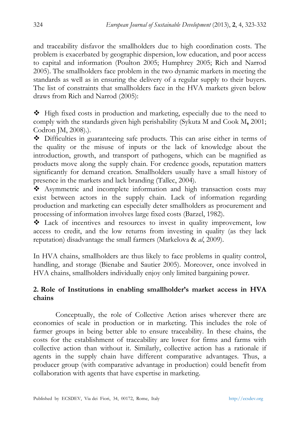and traceability disfavor the smallholders due to high coordination costs. The problem is exacerbated by geographic dispersion, low education, and poor access to capital and information (Poulton 2005; Humphrey 2005; Rich and Narrod 2005). The smallholders face problem in the two dynamic markets in meeting the standards as well as in ensuring the delivery of a regular supply to their buyers. The list of constraints that smallholders face in the HVA markets given below draws from Rich and Narrod (2005):

 High fixed costs in production and marketing, especially due to the need to comply with the standards given high perishability (Sykuta M and Cook M**,** 2001; Codron JM, 2008).).

 Difficulties in guaranteeing safe products. This can arise either in terms of the quality or the misuse of inputs or the lack of knowledge about the introduction, growth, and transport of pathogens, which can be magnified as products move along the supply chain. For credence goods, reputation matters significantly for demand creation. Smallholders usually have a small history of presence in the markets and lack branding (Tallec, 2004).

 $\triangle$  Asymmetric and incomplete information and high transaction costs may exist between actors in the supply chain. Lack of information regarding production and marketing can especially deter smallholders as procurement and processing of information involves large fixed costs (Barzel, 1982).

 Lack of incentives and resources to invest in quality improvement, low access to credit, and the low returns from investing in quality (as they lack reputation) disadvantage the small farmers (Markelova & *al*, 2009).

In HVA chains, smallholders are thus likely to face problems in quality control, handling, and storage (Bienabe and Sautier 2005). Moreover, once involved in HVA chains, smallholders individually enjoy only limited bargaining power.

# **2. Role of Institutions in enabling smallholder's market access in HVA chains**

Conceptually, the role of Collective Action arises wherever there are economies of scale in production or in marketing. This includes the role of farmer groups in being better able to ensure traceability. In these chains, the costs for the establishment of traceability are lower for firms and farms with collective action than without it. Similarly, collective action has a rationale if agents in the supply chain have different comparative advantages. Thus, a producer group (with comparative advantage in production) could benefit from collaboration with agents that have expertise in marketing.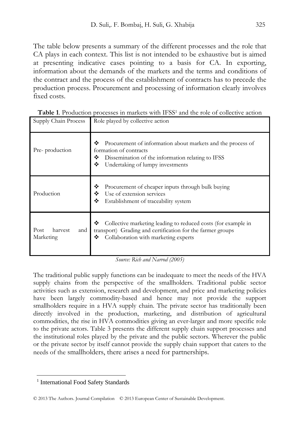The table below presents a summary of the different processes and the role that CA plays in each context. This list is not intended to be exhaustive but is aimed at presenting indicative cases pointing to a basis for CA. In exporting, information about the demands of the markets and the terms and conditions of the contract and the process of the establishment of contracts has to precede the production process. Procurement and processing of information clearly involves fixed costs.

| Supply Chain Process                | Role played by collective action                                                                                                                                                              |
|-------------------------------------|-----------------------------------------------------------------------------------------------------------------------------------------------------------------------------------------------|
| Pre-production                      | ❖<br>Procurement of information about markets and the process of<br>formation of contracts<br>❖<br>Dissemination of the information relating to IFSS<br>❖<br>Undertaking of lumpy investments |
| Production                          | ❖<br>Procurement of cheaper inputs through bulk buying<br>Use of extension services<br>❖<br>❖<br>Establishment of traceability system                                                         |
| Post<br>harvest<br>and<br>Marketing | ❖<br>Collective marketing leading to reduced costs (for example in<br>transport) Grading and certification for the farmer groups<br>Collaboration with marketing experts<br>❖                 |

| Table 1. Production processes in markets with IFSS <sup>1</sup> and the role of collective action |  |  |  |
|---------------------------------------------------------------------------------------------------|--|--|--|
|---------------------------------------------------------------------------------------------------|--|--|--|

*Source: Rich and Narrod (2005)* 

The traditional public supply functions can be inadequate to meet the needs of the HVA supply chains from the perspective of the smallholders. Traditional public sector activities such as extension, research and development, and price and marketing policies have been largely commodity-based and hence may not provide the support smallholders require in a HVA supply chain. The private sector has traditionally been directly involved in the production, marketing, and distribution of agricultural commodities, the rise in HVA commodities giving an ever-larger and more specific role to the private actors. Table 3 presents the different supply chain support processes and the institutional roles played by the private and the public sectors. Wherever the public or the private sector by itself cannot provide the supply chain support that caters to the needs of the smallholders, there arises a need for partnerships.

 $\overline{a}$ 

<sup>&</sup>lt;sup>1</sup> International Food Safety Standards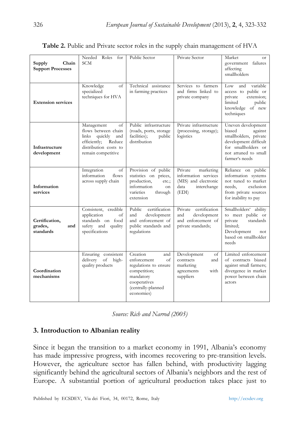| Supply<br>Chain<br><b>Support Processes</b>   | Needed Roles for<br><b>SCM</b>                                                                                                              | Public Sector                                                                                                                                  | Private Sector                                                                                       | Market<br>$\alpha$ r<br>government failures<br>affecting<br>smallholders                                                                                   |
|-----------------------------------------------|---------------------------------------------------------------------------------------------------------------------------------------------|------------------------------------------------------------------------------------------------------------------------------------------------|------------------------------------------------------------------------------------------------------|------------------------------------------------------------------------------------------------------------------------------------------------------------|
| <b>Extension services</b>                     | Knowledge<br>of<br>specialized<br>techniques for HVA                                                                                        | Technical assistance<br>in farming practices                                                                                                   | Services to farmers<br>and firms linked to<br>private company                                        | and<br>Low<br>variable<br>access to public or<br>private<br>extension;<br>limited<br>public<br>knowledge of new<br>techniques                              |
| Infrastructure<br>development                 | Management<br>of<br>flows between chain<br>links<br>quickly<br>and<br>Reduce<br>efficiently;<br>distribution costs to<br>remain competitive | Public infrastructure<br>(roads, ports, storage<br>facilities);<br>public<br>distribution                                                      | Private infrastructure<br>(processing, storage);<br>logistics                                        | Uneven development<br>biased<br>against<br>smallholders, private<br>development difficult<br>for smallholders or<br>not attuned to small<br>farmer's needs |
| Information<br>services                       | Integration<br>of<br>information<br>flows<br>across supply chain                                                                            | Provision of public<br>statistics on prices,<br>production,<br>etc.;<br>information<br>on<br>varieties<br>through<br>extension                 | Private<br>marketing<br>information services<br>(MIS) and electronic<br>data<br>interchange<br>(EDI) | Reliance on public<br>information systems<br>not tuned to market<br>exclusion<br>needs,<br>from private sources<br>for inability to pay                    |
| Certification,<br>grades,<br>and<br>standards | Consistent, credible<br>application<br>of<br>standards on food<br>safety and quality<br>specifications                                      | Public<br>certification<br>and<br>development<br>and enforcement of<br>public standards and<br>regulations                                     | Private certification<br>and<br>development<br>and enforcement of<br>private standards;              | Smallholders' ability<br>to meet public or<br>private<br>standards<br>limited;<br>Development<br>not<br>based on smallholder<br>needs                      |
| Coordination<br>mechanisms                    | Ensuring consistent<br>delivery<br>of<br>high-<br>quality products                                                                          | Creation<br>and<br>enforcement<br>of<br>regulations to ensure<br>competition;<br>mandatory<br>cooperatives<br>(centrally-planned<br>economies) | Development<br>of<br>contracts<br>and<br>marketing<br>agreements<br>with<br>suppliers                | Limited enforcement<br>of contracts biased<br>against small farmers;<br>divergence in market<br>power between chain<br>actors                              |

| Table 2. Public and Private sector roles in the supply chain management of HVA |  |  |  |
|--------------------------------------------------------------------------------|--|--|--|
|--------------------------------------------------------------------------------|--|--|--|

*Source: Rich and Narrod (2005)* 

#### **3. Introduction to Albanian reality**

Since it began the transition to a market economy in 1991, Albania's economy has made impressive progress, with incomes recovering to pre-transition levels. However, the agriculture sector has fallen behind, with productivity lagging significantly behind the agricultural sectors of Albania's neighbors and the rest of Europe. A substantial portion of agricultural production takes place just to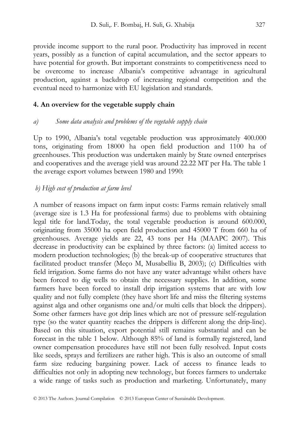provide income support to the rural poor. Productivity has improved in recent years, possibly as a function of capital accumulation, and the sector appears to have potential for growth. But important constraints to competitiveness need to be overcome to increase Albania's competitive advantage in agricultural production, against a backdrop of increasing regional competition and the eventual need to harmonize with EU legislation and standards.

#### **4. An overview for the vegetable supply chain**

#### *a) Some data analysis and problems of the vegetable supply chain*

Up to 1990, Albania's total vegetable production was approximately 400.000 tons, originating from 18000 ha open field production and 1100 ha of greenhouses. This production was undertaken mainly by State owned enterprises and cooperatives and the average yield was around 22.22 MT per Ha. The table 1 the average export volumes between 1980 and 1990:

#### *b) High cost of production at farm level*

A number of reasons impact on farm input costs: Farms remain relatively small (average size is 1.3 Ha for professional farms) due to problems with obtaining legal title for land.Today, the total vegetable production is around 600.000, originating from 35000 ha open field production and 45000 T from 660 ha of greenhouses. Average yields are 22, 43 tons per Ha (MAAPC 2007). This decrease in productivity can be explained by three factors: (a) limited access to modern production technologies; (b) the break-up of cooperative structures that facilitated product transfer (Meço M, Musabelliu B, 2003); (c) Difficulties with field irrigation. Some farms do not have any water advantage whilst others have been forced to dig wells to obtain the necessary supplies. In addition, some farmers have been forced to install drip irrigation systems that are with low quality and not fully complete (they have short life and miss the filtering systems against alga and other organisms one and/or multi cells that block the drippers). Some other farmers have got drip lines which are not of pressure self-regulation type (so the water quantity reaches the drippers is different along the drip-line). Based on this situation, export potential still remains substantial and can be forecast in the table 1 below. Although 85% of land is formally registered, land owner compensation procedures have still not been fully resolved. Input costs like seeds, sprays and fertilizers are rather high. This is also an outcome of small farm size reducing bargaining power. Lack of access to finance leads to difficulties not only in adopting new technology, but forces farmers to undertake a wide range of tasks such as production and marketing. Unfortunately, many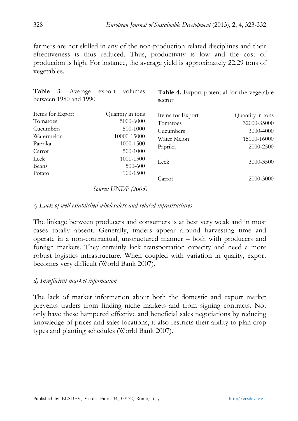farmers are not skilled in any of the non-production related disciplines and their effectiveness is thus reduced. Thus, productivity is low and the cost of production is high. For instance, the average yield is approximately 22.29 tons of vegetables.

| Table 3.<br>Average<br>volumes<br>export<br>between 1980 and 1990 |                                                                       | <b>Table 4.</b> Export potential for the vegetable<br>sector |                  |
|-------------------------------------------------------------------|-----------------------------------------------------------------------|--------------------------------------------------------------|------------------|
| Items for Export                                                  | Quantity in tons                                                      | Items for Export                                             | Quantity in tons |
| Tomatoes                                                          | 5000-6000                                                             | Tomatoes                                                     | 32000-35000      |
| Cucumbers                                                         | 500-1000                                                              | Cucumbers                                                    | 3000-4000        |
| Watermelon                                                        | 10000-15000                                                           | Water Melon                                                  | 15000-16000      |
| Paprika                                                           | 1000-1500                                                             | Paprika                                                      | 2000-2500        |
| Carrot                                                            | 500-1000                                                              |                                                              |                  |
| Leek                                                              | 1000-1500                                                             | Leek                                                         | 3000-3500        |
| Beans                                                             | 500-600                                                               |                                                              |                  |
| Potato                                                            | 100-1500                                                              |                                                              |                  |
| $\sqrt{2}$                                                        | $T T \rightarrow T \rightarrow D \rightarrow \land \land \land \land$ | Carrot                                                       | 2000-3000        |

*Source: UNDP (2005)*

#### *c) Lack of well established wholesalers and related infrastructures*

The linkage between producers and consumers is at best very weak and in most cases totally absent. Generally, traders appear around harvesting time and operate in a non-contractual, unstructured manner – both with producers and foreign markets. They certainly lack transportation capacity and need a more robust logistics infrastructure. When coupled with variation in quality, export becomes very difficult (World Bank 2007).

#### *d) Insufficient market information*

The lack of market information about both the domestic and export market prevents traders from finding niche markets and from signing contracts. Not only have these hampered effective and beneficial sales negotiations by reducing knowledge of prices and sales locations, it also restricts their ability to plan crop types and planting schedules (World Bank 2007).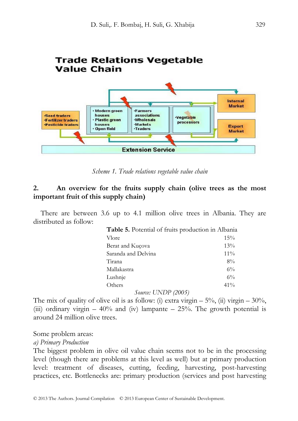

*Scheme 1. Trade relations vegetable value chain* 

#### **2. An overview for the fruits supply chain (olive trees as the most important fruit of this supply chain)**

 There are between 3.6 up to 4.1 million olive trees in Albania. They are distributed as follow:

| Table 5. Potential of fruits production in Albania |        |
|----------------------------------------------------|--------|
| Vlore                                              | $15\%$ |
| Berat and Kucova                                   | 13%    |
| Saranda and Delvina                                | $11\%$ |
| Tirana                                             | $8\%$  |
| Mallakastra                                        | $6\%$  |
| Lushnje                                            | $6\%$  |
| Others                                             | $41\%$ |
| <i>Source: UNDP (2005)</i>                         |        |

The mix of quality of olive oil is as follow: (i) extra virgin –  $5\%$ , (ii) virgin –  $30\%$ , (iii) ordinary virgin  $-40\%$  and (iv) lampante  $-25\%$ . The growth potential is around 24 million olive trees.

Some problem areas:

*a) Primary Production*

The biggest problem in olive oil value chain seems not to be in the processing level (though there are problems at this level as well) but at primary production level: treatment of diseases, cutting, feeding, harvesting, post-harvesting practices, etc. Bottlenecks are: primary production (services and post harvesting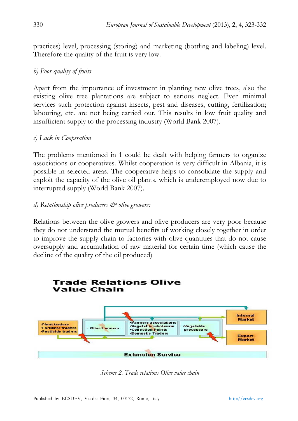practices) level, processing (storing) and marketing (bottling and labeling) level. Therefore the quality of the fruit is very low.

# *b) Poor quality of fruits*

Apart from the importance of investment in planting new olive trees, also the existing olive tree plantations are subject to serious neglect. Even minimal services such protection against insects, pest and diseases, cutting, fertilization; labouring, etc. are not being carried out. This results in low fruit quality and insufficient supply to the processing industry (World Bank 2007).

#### *c) Lack in Cooperation*

The problems mentioned in 1 could be dealt with helping farmers to organize associations or cooperatives. Whilst cooperation is very difficult in Albania, it is possible in selected areas. The cooperative helps to consolidate the supply and exploit the capacity of the olive oil plants, which is underemployed now due to interrupted supply (World Bank 2007).

#### *d) Relationship olive producers & olive growers:*

Relations between the olive growers and olive producers are very poor because they do not understand the mutual benefits of working closely together in order to improve the supply chain to factories with olive quantities that do not cause oversupply and accumulation of raw material for certain time (which cause the decline of the quality of the oil produced)



*Scheme 2. Trade relations Olive value chain*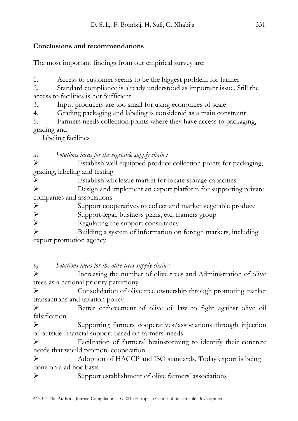# **Conclusions and recommendations**

The most important findings from our empirical survey are:

1. Access to customer seems to be the biggest problem for farmer

2. Standard compliance is already understood as important issue. Still the access to facilities is not Sufficient

3. Input producers are too small for using economies of scale

4. Grading packaging and labeling is considered as a main constraint

5. Farmers needs collection points where they have access to packaging, grading and

labeling facilities

*a) Solutions ideas for the vegetable supply chain :* 

¾ Establish well equipped produce collection points for packaging, grading, labeling and testing

¾ Establish wholesale market for locate storage capacities

¾ Design and implement an export platform for supporting private companies and associations

¾ Support cooperatives to collect and market vegetable produce

¾ Support-legal, business plans, etc, framers group

¾ Regulating the support consultancy

¾ Building a system of information on foreign markets, including export promotion agency.

*b) Solutions ideas for the olive trees supply chain :* 

¾ Increasing the number of olive trees and Administration of olive trees as a national priority patrimony

¾ Consolidation of olive tree ownership through promoting market transactions and taxation policy

¾ Better enforcement of olive oil law to fight against olive oil falsification

¾ Supporting farmers cooperatives/associations through injection of outside financial support based on farmers' needs

¾ Facilitation of farmers' brainstorming to identify their concrete needs that would promote cooperation

¾ Adoption of HACCP and ISO standards. Today export is being done on a ad hoc basis

¾ Support establishment of olive farmers' associations